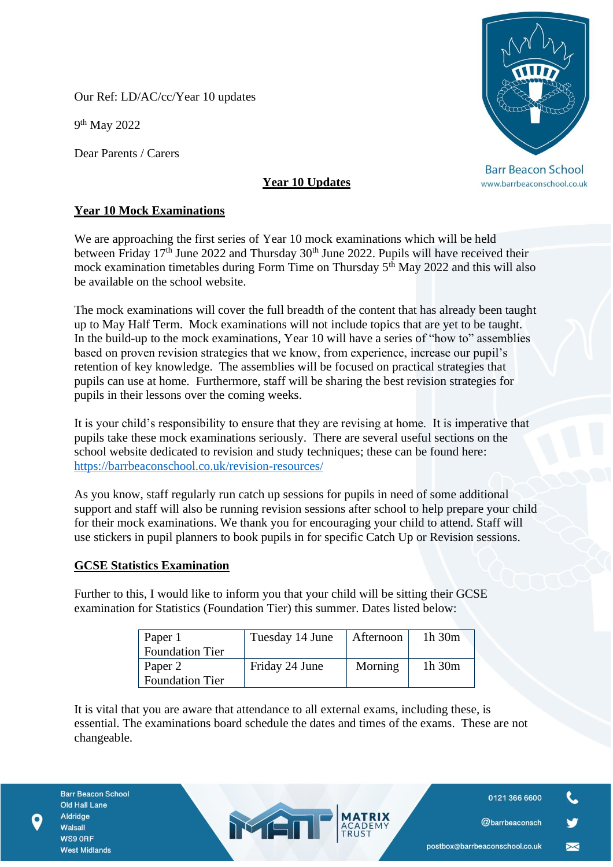Our Ref: LD/AC/cc/Year 10 updates

9<sup>th</sup> May 2022

Dear Parents / Carers

## **Year 10 Updates**

## **Year 10 Mock Examinations**

We are approaching the first series of Year 10 mock examinations which will be held between Friday 17<sup>th</sup> June 2022 and Thursday 30<sup>th</sup> June 2022. Pupils will have received their mock examination timetables during Form Time on Thursday  $5<sup>th</sup>$  May 2022 and this will also be available on the school website.

The mock examinations will cover the full breadth of the content that has already been taught up to May Half Term. Mock examinations will not include topics that are yet to be taught. In the build-up to the mock examinations, Year 10 will have a series of "how to" assemblies based on proven revision strategies that we know, from experience, increase our pupil's retention of key knowledge. The assemblies will be focused on practical strategies that pupils can use at home. Furthermore, staff will be sharing the best revision strategies for pupils in their lessons over the coming weeks.

It is your child's responsibility to ensure that they are revising at home. It is imperative that pupils take these mock examinations seriously. There are several useful sections on the school website dedicated to revision and study techniques; these can be found here: <https://barrbeaconschool.co.uk/revision-resources/>

As you know, staff regularly run catch up sessions for pupils in need of some additional support and staff will also be running revision sessions after school to help prepare your child for their mock examinations. We thank you for encouraging your child to attend. Staff will use stickers in pupil planners to book pupils in for specific Catch Up or Revision sessions.

## **GCSE Statistics Examination**

Further to this, I would like to inform you that your child will be sitting their GCSE examination for Statistics (Foundation Tier) this summer. Dates listed below:

| Paper 1<br><b>Foundation Tier</b> | Tuesday 14 June | Afternoon | 1h 30m      |
|-----------------------------------|-----------------|-----------|-------------|
| Paper 2                           | Friday 24 June  | Morning   | $1h$ 30 $m$ |
| <b>Foundation Tier</b>            |                 |           |             |

It is vital that you are aware that attendance to all external exams, including these, is essential. The examinations board schedule the dates and times of the exams. These are not changeable.

MED

**Barr Beacon School Old Hall Lane** Aldridge Walsall WS9 ORF **West Midlands** 

**Barr Beacon School** 

www.barrbeaconschool.co.uk

0121 366 6600

@barrbeaconsch